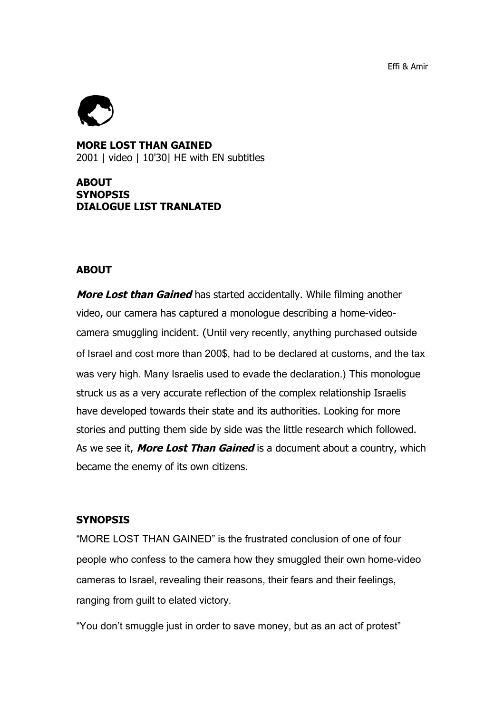Effi & Amir



**MORE LOST THAN GAINED** 2001 | video | 10'30| HE with EN subtitles

## **ABOUT SYNOPSIS DIALOGUE LIST TRANLATED**

#### **ABOUT**

**More Lost than Gained** has started accidentally. While filming another video, our camera has captured a monologue describing a home-videocamera smuggling incident. (Until very recently, anything purchased outside of Israel and cost more than 200\$, had to be declared at customs, and the tax was very high. Many Israelis used to evade the declaration.) This monologue struck us as a very accurate reflection of the complex relationship Israelis have developed towards their state and its authorities. Looking for more stories and putting them side by side was the little research which followed. As we see it, **More Lost Than Gained** is a document about a country, which became the enemy of its own citizens.

#### **SYNOPSIS**

"MORE LOST THAN GAINED" is the frustrated conclusion of one of four people who confess to the camera how they smuggled their own home-video cameras to Israel, revealing their reasons, their fears and their feelings, ranging from guilt to elated victory.

"You don't smuggle just in order to save money, but as an act of protest"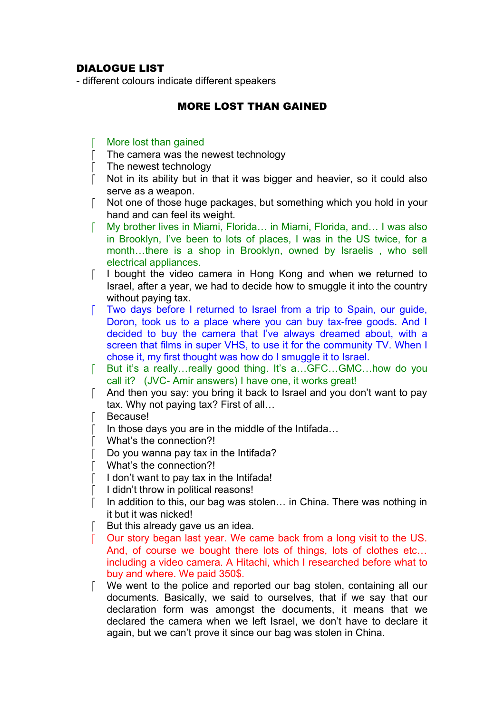# DIALOGUE LIST

- different colours indicate different speakers

### MORE LOST THAN GAINED

- More lost than gained
- The camera was the newest technology
- The newest technology
- Not in its ability but in that it was bigger and heavier, so it could also serve as a weapon.
- Not one of those huge packages, but something which you hold in your hand and can feel its weight.
- My brother lives in Miami, Florida… in Miami, Florida, and… I was also in Brooklyn, I've been to lots of places, I was in the US twice, for a month…there is a shop in Brooklyn, owned by Israelis , who sell electrical appliances.
- I bought the video camera in Hong Kong and when we returned to Israel, after a year, we had to decide how to smuggle it into the country without paying tax.
- Two days before I returned to Israel from a trip to Spain, our guide, Doron, took us to a place where you can buy tax-free goods. And I decided to buy the camera that I've always dreamed about, with a screen that films in super VHS, to use it for the community TV. When I chose it, my first thought was how do I smuggle it to Israel.
- F But it's a really…really good thing. It's a...GFC...GMC...how do you call it? (JVC- Amir answers) I have one, it works great!
- And then you say: you bring it back to Israel and you don't want to pay tax. Why not paying tax? First of all…
- **Because!**
- In those days you are in the middle of the Intifada…
- What's the connection?!
- Do you wanna pay tax in the Intifada?
- What's the connection?!
- I don't want to pay tax in the Intifada!
- I didn't throw in political reasons!
- $\lceil$  In addition to this, our bag was stolen... in China. There was nothing in it but it was nicked!
- But this already gave us an idea.
- Our story began last year. We came back from a long visit to the US. And, of course we bought there lots of things, lots of clothes etc… including a video camera. A Hitachi, which I researched before what to buy and where. We paid 350\$.
- We went to the police and reported our bag stolen, containing all our documents. Basically, we said to ourselves, that if we say that our declaration form was amongst the documents, it means that we declared the camera when we left Israel, we don't have to declare it again, but we can't prove it since our bag was stolen in China.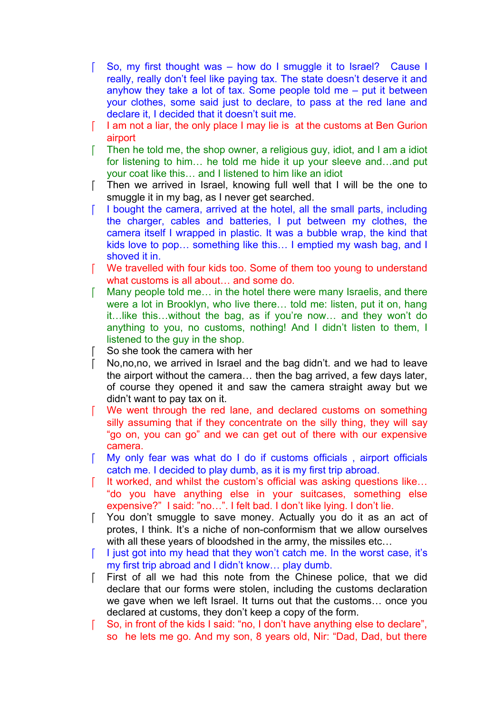- So, my first thought was how do I smuggle it to Israel? Cause I really, really don't feel like paying tax. The state doesn't deserve it and anyhow they take a lot of tax. Some people told me  $-$  put it between your clothes, some said just to declare, to pass at the red lane and declare it, I decided that it doesn't suit me.
- $\lceil$  lam not a liar, the only place I may lie is at the customs at Ben Gurion airport
- $\lceil$  Then he told me, the shop owner, a religious guy, idiot, and I am a idiot for listening to him… he told me hide it up your sleeve and…and put your coat like this… and I listened to him like an idiot
- [ Then we arrived in Israel, knowing full well that I will be the one to smuggle it in my bag, as I never get searched.
- $\lceil$  I bought the camera, arrived at the hotel, all the small parts, including the charger, cables and batteries, I put between my clothes, the camera itself I wrapped in plastic. It was a bubble wrap, the kind that kids love to pop… something like this… I emptied my wash bag, and I shoved it in.
- We travelled with four kids too. Some of them too young to understand what customs is all about… and some do.
- Many people told me… in the hotel there were many Israelis, and there were a lot in Brooklyn, who live there… told me: listen, put it on, hang it…like this…without the bag, as if you're now… and they won't do anything to you, no customs, nothing! And I didn't listen to them, I listened to the guy in the shop.
- So she took the camera with her
- No,no,no, we arrived in Israel and the bag didn't. and we had to leave the airport without the camera… then the bag arrived, a few days later, of course they opened it and saw the camera straight away but we didn't want to pay tax on it.
- We went through the red lane, and declared customs on something silly assuming that if they concentrate on the silly thing, they will say "go on, you can go" and we can get out of there with our expensive camera.
- My only fear was what do I do if customs officials , airport officials catch me. I decided to play dumb, as it is my first trip abroad.
- It worked, and whilst the custom's official was asking questions like… "do you have anything else in your suitcases, something else expensive?" I said: "no…". I felt bad. I don't like lying. I don't lie.
- You don't smuggle to save money. Actually you do it as an act of protes, I think. It's a niche of non-conformism that we allow ourselves with all these years of bloodshed in the army, the missiles etc…
- $\lceil$  I just got into my head that they won't catch me. In the worst case, it's my first trip abroad and I didn't know… play dumb.
- First of all we had this note from the Chinese police, that we did declare that our forms were stolen, including the customs declaration we gave when we left Israel. It turns out that the customs… once you declared at customs, they don't keep a copy of the form.
- [ So, in front of the kids I said: "no, I don't have anything else to declare", so he lets me go. And my son, 8 years old, Nir: "Dad, Dad, but there